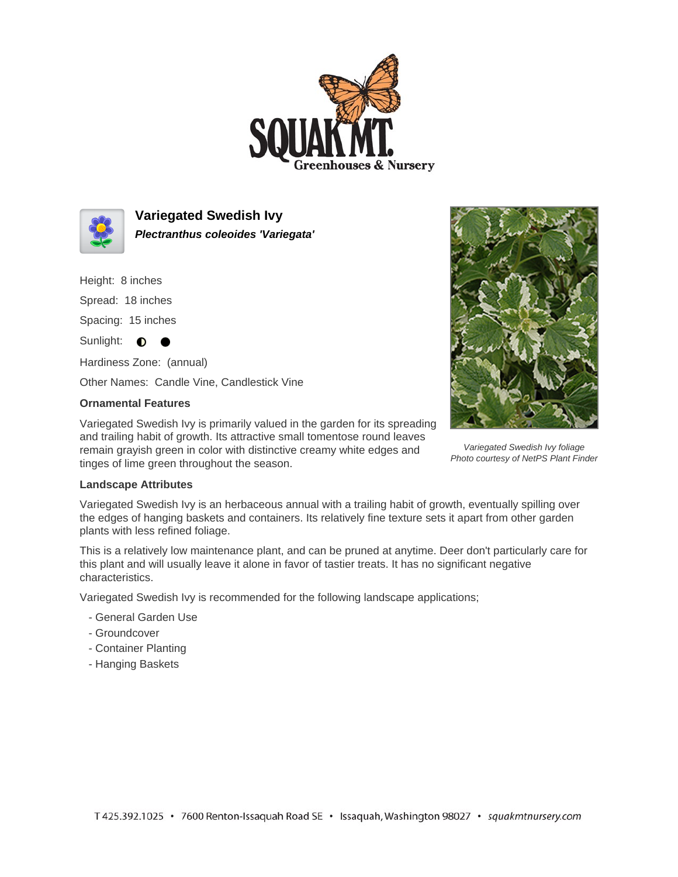



**Variegated Swedish Ivy Plectranthus coleoides 'Variegata'**

Height: 8 inches

Spread: 18 inches

Spacing: 15 inches

Sunlight:  $\bullet$  $\bullet$ 

Hardiness Zone: (annual)

Other Names: Candle Vine, Candlestick Vine

## **Ornamental Features**

Variegated Swedish Ivy is primarily valued in the garden for its spreading and trailing habit of growth. Its attractive small tomentose round leaves remain grayish green in color with distinctive creamy white edges and tinges of lime green throughout the season.



Variegated Swedish Ivy foliage Photo courtesy of NetPS Plant Finder

## **Landscape Attributes**

Variegated Swedish Ivy is an herbaceous annual with a trailing habit of growth, eventually spilling over the edges of hanging baskets and containers. Its relatively fine texture sets it apart from other garden plants with less refined foliage.

This is a relatively low maintenance plant, and can be pruned at anytime. Deer don't particularly care for this plant and will usually leave it alone in favor of tastier treats. It has no significant negative characteristics.

Variegated Swedish Ivy is recommended for the following landscape applications;

- General Garden Use
- Groundcover
- Container Planting
- Hanging Baskets